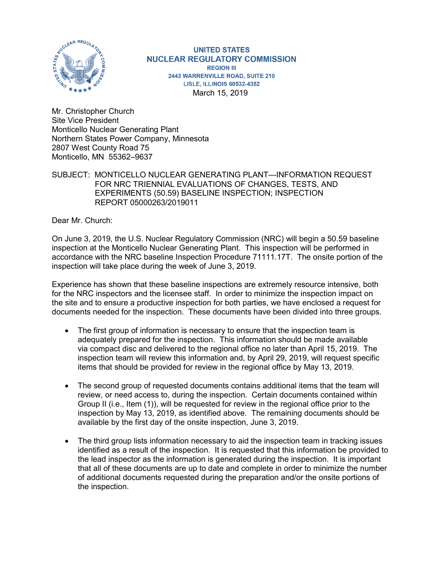

**UNITED STATES NUCLEAR REGULATORY COMMISSION REGION III** 2443 WARRENVILLE ROAD, SUITE 210 **LISLE, ILLINOIS 60532-4352** March 15, 2019

Mr. Christopher Church Site Vice President Monticello Nuclear Generating Plant Northern States Power Company, Minnesota 2807 West County Road 75 Monticello, MN 55362–9637

SUBJECT: MONTICELLO NUCLEAR GENERATING PLANT—INFORMATION REQUEST FOR NRC TRIENNIAL EVALUATIONS OF CHANGES, TESTS, AND EXPERIMENTS (50.59) BASELINE INSPECTION; INSPECTION REPORT 05000263/2019011

Dear Mr. Church:

On June 3, 2019, the U.S. Nuclear Regulatory Commission (NRC) will begin a 50.59 baseline inspection at the Monticello Nuclear Generating Plant. This inspection will be performed in accordance with the NRC baseline Inspection Procedure 71111.17T. The onsite portion of the inspection will take place during the week of June 3, 2019.

Experience has shown that these baseline inspections are extremely resource intensive, both for the NRC inspectors and the licensee staff. In order to minimize the inspection impact on the site and to ensure a productive inspection for both parties, we have enclosed a request for documents needed for the inspection. These documents have been divided into three groups.

- The first group of information is necessary to ensure that the inspection team is adequately prepared for the inspection. This information should be made available via compact disc and delivered to the regional office no later than April 15, 2019. The inspection team will review this information and, by April 29, 2019, will request specific items that should be provided for review in the regional office by May 13, 2019.
- The second group of requested documents contains additional items that the team will review, or need access to, during the inspection. Certain documents contained within Group II (i.e., Item (1)), will be requested for review in the regional office prior to the inspection by May 13, 2019, as identified above. The remaining documents should be available by the first day of the onsite inspection, June 3, 2019.
- The third group lists information necessary to aid the inspection team in tracking issues identified as a result of the inspection. It is requested that this information be provided to the lead inspector as the information is generated during the inspection. It is important that all of these documents are up to date and complete in order to minimize the number of additional documents requested during the preparation and/or the onsite portions of the inspection.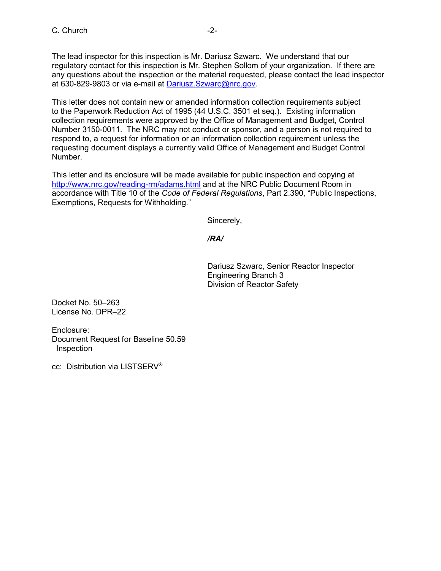The lead inspector for this inspection is Mr. Dariusz Szwarc. We understand that our regulatory contact for this inspection is Mr. Stephen Sollom of your organization. If there are any questions about the inspection or the material requested, please contact the lead inspector at 630-829-9803 or via e-mail at [Dariusz.Szwarc@nrc.gov.](mailto:Dariusz.Szwarc@nrc.gov)

This letter does not contain new or amended information collection requirements subject to the Paperwork Reduction Act of 1995 (44 U.S.C. 3501 et seq.). Existing information collection requirements were approved by the Office of Management and Budget, Control Number 3150-0011. The NRC may not conduct or sponsor, and a person is not required to respond to, a request for information or an information collection requirement unless the requesting document displays a currently valid Office of Management and Budget Control Number.

This letter and its enclosure will be made available for public inspection and copying at <http://www.nrc.gov/reading-rm/adams.html> and at the NRC Public Document Room in accordance with Title 10 of the *Code of Federal Regulations*, Part 2.390, "Public Inspections, Exemptions, Requests for Withholding."

Sincerely,

# */RA/*

Dariusz Szwarc, Senior Reactor Inspector Engineering Branch 3 Division of Reactor Safety

Docket No. 50–263 License No. DPR–22

Enclosure: Document Request for Baseline 50.59 Inspection

cc: Distribution via LISTSERV®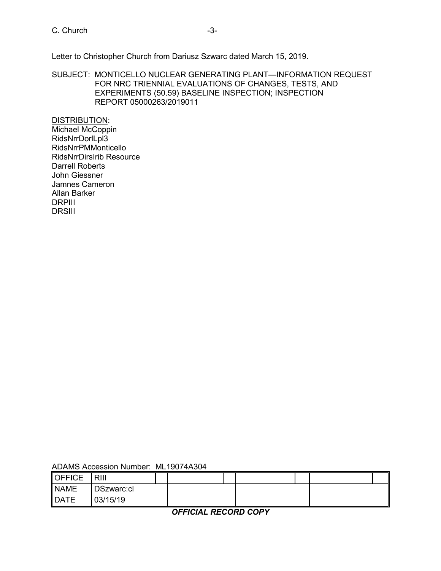C. Church -3-

Letter to Christopher Church from Dariusz Szwarc dated March 15, 2019.

SUBJECT: MONTICELLO NUCLEAR GENERATING PLANT—INFORMATION REQUEST FOR NRC TRIENNIAL EVALUATIONS OF CHANGES, TESTS, AND EXPERIMENTS (50.59) BASELINE INSPECTION; INSPECTION REPORT 05000263/2019011

DISTRIBUTION: Michael McCoppin RidsNrrDorlLpl3 RidsNrrPMMonticello RidsNrrDirsIrib Resource Darrell Roberts John Giessner Jamnes Cameron Allan Barker DRPIII **DRSIII** 

| <b>OFFICE</b> | RIII       |  |  |  |  |
|---------------|------------|--|--|--|--|
| NAME          | DSzwarc:cl |  |  |  |  |
| <b>DATE</b>   | 03/15/19   |  |  |  |  |

*OFFICIAL RECORD COPY*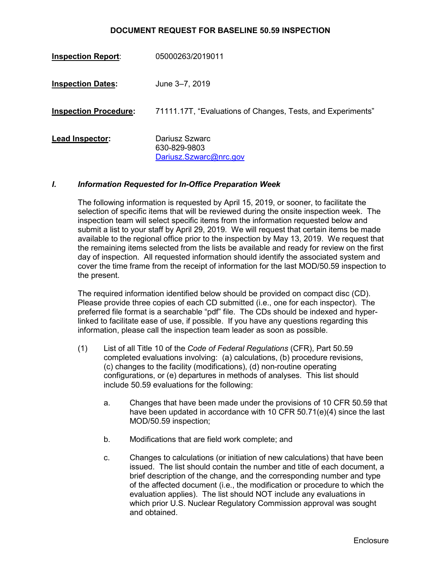#### **DOCUMENT REQUEST FOR BASELINE 50.59 INSPECTION**

| <b>Inspection Report:</b>    | 05000263/2019011                                            |
|------------------------------|-------------------------------------------------------------|
| <b>Inspection Dates:</b>     | June 3–7, 2019                                              |
| <b>Inspection Procedure:</b> | 71111.17T, "Evaluations of Changes, Tests, and Experiments" |
| Lead Inspector:              | Dariusz Szwarc<br>630-829-9803<br>Dariusz.Szwarc@nrc.gov    |

#### *I. Information Requested for In-Office Preparation Week*

The following information is requested by April 15, 2019, or sooner, to facilitate the selection of specific items that will be reviewed during the onsite inspection week. The inspection team will select specific items from the information requested below and submit a list to your staff by April 29, 2019. We will request that certain items be made available to the regional office prior to the inspection by May 13, 2019. We request that the remaining items selected from the lists be available and ready for review on the first day of inspection. All requested information should identify the associated system and cover the time frame from the receipt of information for the last MOD/50.59 inspection to the present.

The required information identified below should be provided on compact disc (CD). Please provide three copies of each CD submitted (i.e., one for each inspector). The preferred file format is a searchable "pdf" file. The CDs should be indexed and hyperlinked to facilitate ease of use, if possible. If you have any questions regarding this information, please call the inspection team leader as soon as possible.

- (1) List of all Title 10 of the *Code of Federal Regulations* (CFR), Part 50.59 completed evaluations involving: (a) calculations, (b) procedure revisions, (c) changes to the facility (modifications), (d) non-routine operating configurations, or (e) departures in methods of analyses. This list should include 50.59 evaluations for the following:
	- a. Changes that have been made under the provisions of 10 CFR 50.59 that have been updated in accordance with 10 CFR 50.71(e)(4) since the last MOD/50.59 inspection;
	- b. Modifications that are field work complete; and
	- c. Changes to calculations (or initiation of new calculations) that have been issued. The list should contain the number and title of each document, a brief description of the change, and the corresponding number and type of the affected document (i.e., the modification or procedure to which the evaluation applies). The list should NOT include any evaluations in which prior U.S. Nuclear Regulatory Commission approval was sought and obtained.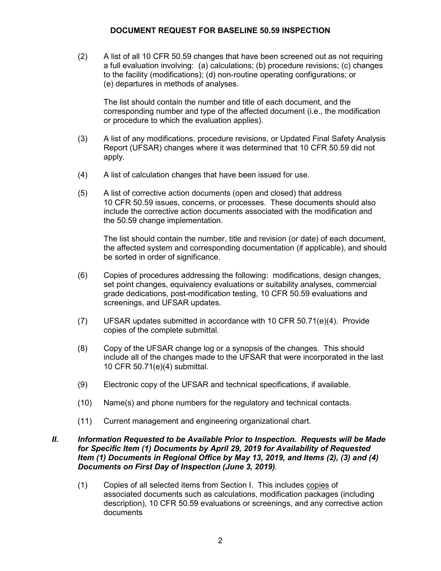#### **DOCUMENT REQUEST FOR BASELINE 50.59 INSPECTION**

(2) A list of all 10 CFR 50.59 changes that have been screened out as not requiring a full evaluation involving: (a) calculations; (b) procedure revisions; (c) changes to the facility (modifications); (d) non-routine operating configurations; or (e) departures in methods of analyses.

The list should contain the number and title of each document, and the corresponding number and type of the affected document (i.e., the modification or procedure to which the evaluation applies).

- (3) A list of any modifications, procedure revisions, or Updated Final Safety Analysis Report (UFSAR) changes where it was determined that 10 CFR 50.59 did not apply.
- (4) A list of calculation changes that have been issued for use.
- (5) A list of corrective action documents (open and closed) that address 10 CFR 50.59 issues, concerns, or processes. These documents should also include the corrective action documents associated with the modification and the 50.59 change implementation.

The list should contain the number, title and revision (or date) of each document, the affected system and corresponding documentation (if applicable), and should be sorted in order of significance.

- (6) Copies of procedures addressing the following: modifications, design changes, set point changes, equivalency evaluations or suitability analyses, commercial grade dedications, post-modification testing, 10 CFR 50.59 evaluations and screenings, and UFSAR updates.
- (7) UFSAR updates submitted in accordance with 10 CFR 50.71(e)(4). Provide copies of the complete submittal.
- (8) Copy of the UFSAR change log or a synopsis of the changes. This should include all of the changes made to the UFSAR that were incorporated in the last 10 CFR 50.71(e)(4) submittal.
- (9) Electronic copy of the UFSAR and technical specifications, if available.
- (10) Name(s) and phone numbers for the regulatory and technical contacts.
- (11) Current management and engineering organizational chart.

#### *II. Information Requested to be Available Prior to Inspection. Requests will be Made for Specific Item (1) Documents by April 29, 2019 for Availability of Requested Item (1) Documents in Regional Office by May 13, 2019, and Items (2), (3) and (4) Documents on First Day of Inspection (June 3, 2019)*.

(1) Copies of all selected items from Section I. This includes copies of associated documents such as calculations, modification packages (including description), 10 CFR 50.59 evaluations or screenings, and any corrective action documents